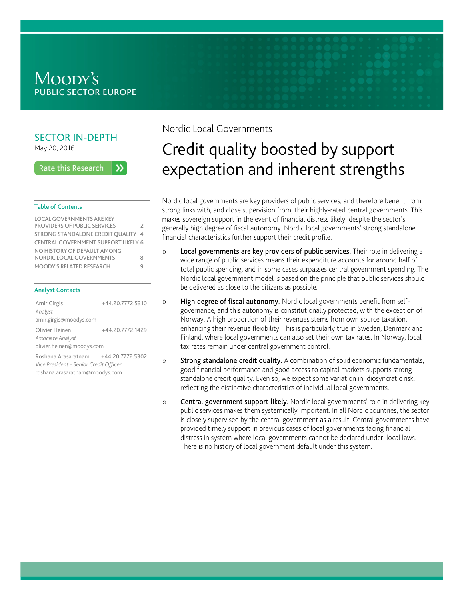# Moody's **PUBLIC SECTOR EUROPE**

### SECTOR IN-DEPTH May 20, 2016

**Rate this Research**  $\lambda$ 

#### Table of Contents

| <b>LOCAL GOVERNMENTS ARE KEY</b>           |               |
|--------------------------------------------|---------------|
| <b>PROVIDERS OF PUBLIC SERVICES</b>        | $\mathcal{P}$ |
| STRONG STANDALONE CREDIT QUALITY 4         |               |
| <b>CENTRAL GOVERNMENT SUPPORT LIKELY 6</b> |               |
| NO HISTORY OF DEFAULT AMONG                |               |
| NORDIC LOCAL GOVERNMENTS                   | 8             |
| MOODY'S RELATED RESEARCH                   | q             |
|                                            |               |

#### Analyst Contacts

| Amir Girgis<br>Analyst<br>amir.girgis@moodys.com                                                | +44.20.7772.5310 |
|-------------------------------------------------------------------------------------------------|------------------|
| Olivier Heinen<br>Associate Analyst<br>olivier.heinen@moodys.com                                | +44.20.7772.1429 |
| Roshana Arasaratnam<br>Vice President - Senior Credit Officer<br>roshana.arasaratnam@moodys.com | +44.20.7772.5302 |

 $\mathcal{Y}$ 

## Nordic Local Governments

# Credit quality boosted by support expectation and inherent strengths

Nordic local governments are key providers of public services, and therefore benefit from strong links with, and close supervision from, their highly-rated central governments. This makes sovereign support in the event of financial distress likely, despite the sector's generally high degree of fiscal autonomy. Nordic local governments' strong standalone financial characteristics further support their credit profile.

- Local governments are key providers of public services. Their role in delivering a  $\mathcal{P}$ wide range of public services means their expenditure accounts for around half of total public spending, and in some cases surpasses central government spending. The Nordic local government model is based on the principle that public services should be delivered as close to the citizens as possible.
	- High degree of fiscal autonomy. Nordic local governments benefit from selfgovernance, and this autonomy is constitutionally protected, with the exception of Norway. A high proportion of their revenues stems from own source taxation, enhancing their revenue flexibility. This is particularly true in Sweden, Denmark and Finland, where local governments can also set their own tax rates. In Norway, local tax rates remain under central government control.
- $\mathcal{V}$ Strong standalone credit quality. A combination of solid economic fundamentals, good financial performance and good access to capital markets supports strong standalone credit quality. Even so, we expect some variation in idiosyncratic risk, reflecting the distinctive characteristics of individual local governments.
- Central government support likely. Nordic local governments' role in delivering key  $\mathcal{V}$ public services makes them systemically important. In all Nordic countries, the sector is closely supervised by the central government as a result. Central governments have provided timely support in previous cases of local governments facing financial distress in system where local governments cannot be declared under local laws. There is no history of local government default under this system.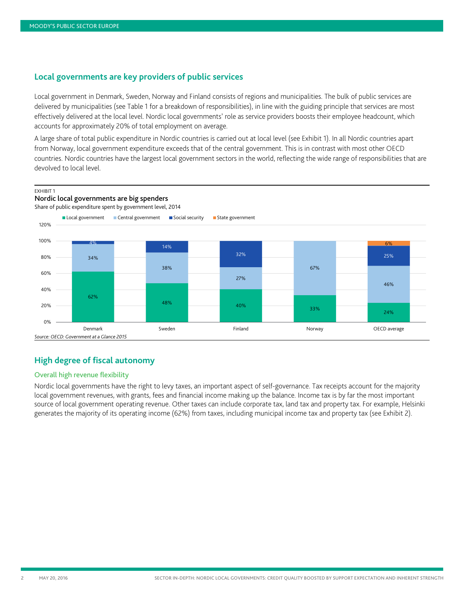### <span id="page-1-0"></span>**Local governments are key providers of public services**

Local government in Denmark, Sweden, Norway and Finland consists of regions and municipalities. The bulk of public services are delivered by municipalities (see Table 1 for a breakdown of responsibilities), in line with the guiding principle that services are most effectively delivered at the local level. Nordic local governments' role as service providers boosts their employee headcount, which accounts for approximately 20% of total employment on average.

A large share of total public expenditure in Nordic countries is carried out at local level (see Exhibit 1). In all Nordic countries apart from Norway, local government expenditure exceeds that of the central government. This is in contrast with most other OECD countries. Nordic countries have the largest local government sectors in the world, reflecting the wide range of responsibilities that are devolved to local level.



### **High degree of fiscal autonomy**

#### Overall high revenue flexibility

Nordic local governments have the right to levy taxes, an important aspect of self-governance. Tax receipts account for the majority local government revenues, with grants, fees and financial income making up the balance. Income tax is by far the most important source of local government operating revenue. Other taxes can include corporate tax, land tax and property tax. For example, Helsinki generates the majority of its operating income (62%) from taxes, including municipal income tax and property tax (see Exhibit 2).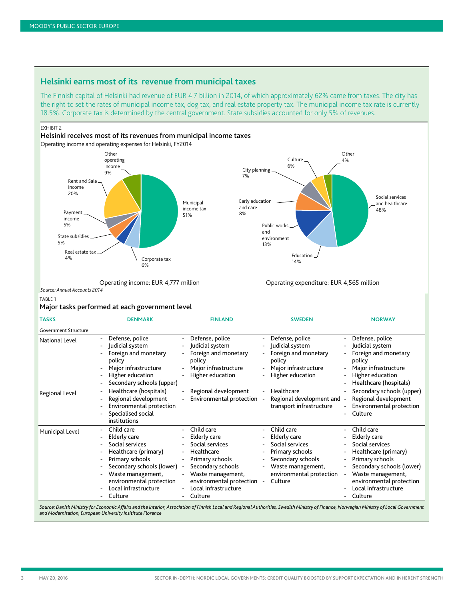### **Helsinki earns most of its revenue from municipal taxes**

The Finnish capital of Helsinki had revenue of EUR 4.7 billion in 2014, of which approximately 62% came from taxes. The city has the right to set the rates of municipal income tax, dog tax, and real estate property tax. The municipal income tax rate is currently 18.5%. Corporate tax is determined by the central government. State subsidies accounted for only 5% of revenues.

EXHIBIT 2



### TARI F 1

#### Major tasks performed at each government level

| <b>TASKS</b>                | <b>DENMARK</b>                                                                                                                                                                                                  | <b>FINLAND</b>                                                                                                                                                                                                      | <b>SWEDEN</b>                                                                                                                                                                 | <b>NORWAY</b>                                                                                                                                                                                                                                                     |
|-----------------------------|-----------------------------------------------------------------------------------------------------------------------------------------------------------------------------------------------------------------|---------------------------------------------------------------------------------------------------------------------------------------------------------------------------------------------------------------------|-------------------------------------------------------------------------------------------------------------------------------------------------------------------------------|-------------------------------------------------------------------------------------------------------------------------------------------------------------------------------------------------------------------------------------------------------------------|
| <b>Government Structure</b> |                                                                                                                                                                                                                 |                                                                                                                                                                                                                     |                                                                                                                                                                               |                                                                                                                                                                                                                                                                   |
| National Level              | Defense, police<br>Judicial system<br>Foreign and monetary<br>policy<br>Major infrastructure<br>Higher education<br>Secondary schools (upper)<br>$\overline{\phantom{0}}$                                       | Defense, police<br>Judicial system<br>Foreign and monetary<br>policy<br>Major infrastructure<br>Higher education                                                                                                    | Defense, police<br>Judicial system<br>Foreign and monetary<br>policy<br>Major infrastructure<br>Higher education                                                              | Defense, police<br>Judicial system<br>Foreign and monetary<br>$\overline{\phantom{0}}$<br>policy<br>Major infrastructure<br>$\overline{\phantom{0}}$<br>Higher education<br>Healthcare (hospitals)                                                                |
| Regional Level              | Healthcare (hospitals)<br>Regional development<br>Environmental protection<br>Ξ.<br>Specialised social<br>institutions                                                                                          | Regional development<br>$\overline{\phantom{0}}$<br>Environmental protection                                                                                                                                        | Healthcare<br>Regional development and -<br>transport infrastructure                                                                                                          | Secondary schools (upper)<br>Regional development<br>Environmental protection<br>$\overline{\phantom{0}}$<br>Culture<br>$\overline{\phantom{0}}$                                                                                                                  |
| Municipal Level             | Child care<br>Elderly care<br>Social services<br>Healthcare (primary)<br>Primary schools<br>Ξ.<br>Secondary schools (lower)<br>Waste management,<br>environmental protection<br>Local infrastructure<br>Culture | Child care<br>Elderly care<br>Social services<br>Healthcare<br>Primary schools<br>$\overline{\phantom{0}}$<br>Secondary schools<br>Waste management,<br>environmental protection<br>Local infrastructure<br>Culture | Child care<br>Elderly care<br>Social services<br>Primary schools<br>Secondary schools<br>Waste management,<br>environmental protection<br>Culture<br>$\overline{\phantom{a}}$ | Child care<br>Elderly care<br>Social services<br>Healthcare (primary)<br>Primary schools<br>$\overline{\phantom{a}}$<br>Secondary schools (lower)<br>$\overline{\phantom{0}}$<br>Waste management,<br>environmental protection<br>Local infrastructure<br>Culture |

Source: Danish Ministry for Economic Affairs and the Interior, Association of Finnish Local and Regional Authorities, Swedish Ministry of Finance, Norwegian Ministry of Local Government *and Modernisation, European University Insititute Florence*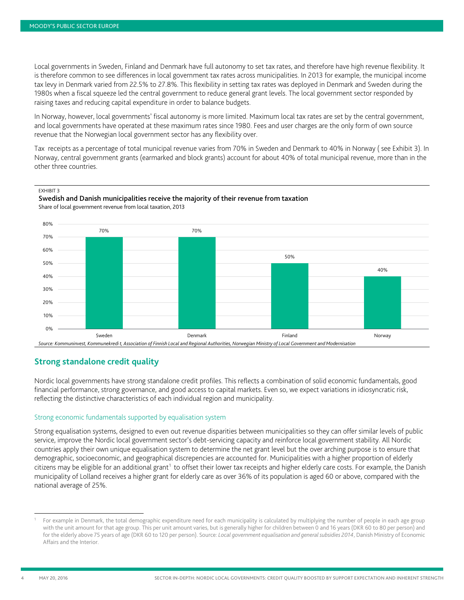Local governments in Sweden, Finland and Denmark have full autonomy to set tax rates, and therefore have high revenue flexibility. It is therefore common to see differences in local government tax rates across municipalities. In 2013 for example, the municipal income tax levy in Denmark varied from 22.5% to 27.8%. This flexibility in setting tax rates was deployed in Denmark and Sweden during the 1980s when a fiscal squeeze led the central government to reduce general grant levels. The local government sector responded by raising taxes and reducing capital expenditure in order to balance budgets.

In Norway, however, local governments' fiscal autonomy is more limited. Maximum local tax rates are set by the central government, and local governments have operated at these maximum rates since 1980. Fees and user charges are the only form of own source revenue that the Norwegian local government sector has any flexibility over.

Tax receipts as a percentage of total municipal revenue varies from 70% in Sweden and Denmark to 40% in Norway ( see Exhibit 3). In Norway, central government grants (earmarked and block grants) account for about 40% of total municipal revenue, more than in the other three countries.



#### Swedish and Danish municipalities receive the majority of their revenue from taxation Share of local government revenue from local taxation, 2013



# <span id="page-3-0"></span>**Strong standalone credit quality**

Nordic local governments have strong standalone credit profiles. This reflects a combination of solid economic fundamentals, good financial performance, strong governance, and good access to capital markets. Even so, we expect variations in idiosyncratic risk, reflecting the distinctive characteristics of each individual region and municipality.

### Strong economic fundamentals supported by equalisation system

Strong equalisation systems, designed to even out revenue disparities between municipalities so they can offer similar levels of public service, improve the Nordic local government sector's debt-servicing capacity and reinforce local government stability. All Nordic countries apply their own unique equalisation system to determine the net grant level but the over arching purpose is to ensure that demographic, socioeconomic, and geographical discrepencies are accounted for. Municipalities with a higher proportion of elderly citizens may be eligible for an additional grant<sup>[1](#page-3-1)</sup> to offset their lower tax receipts and higher elderly care costs. For example, the Danish municipality of Lolland receives a higher grant for elderly care as over 36% of its population is aged 60 or above, compared with the national average of 25%.

-

<span id="page-3-1"></span>For example in Denmark, the total demographic expenditure need for each municipality is calculated by multiplying the number of people in each age group with the unit amount for that age group. This per unit amount varies, but is generally higher for children between 0 and 16 years (DKR 60 to 80 per person) and for the elderly above 75 years of age (DKR 60 to 120 per person). Source: *Local government equalisation and general subsidies 2014*, Danish Ministry of Economic Affairs and the Interior.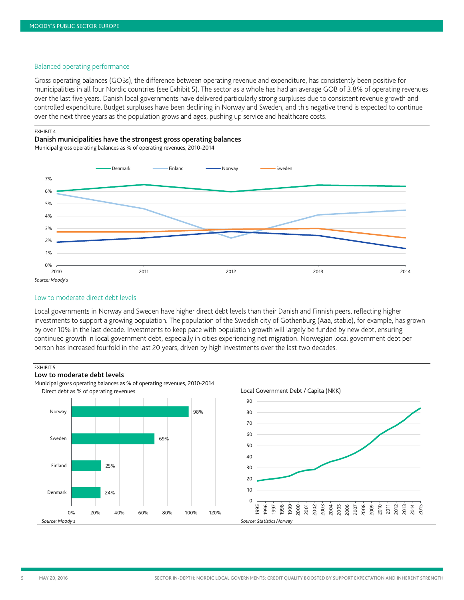#### Balanced operating performance

Gross operating balances (GOBs), the difference between operating revenue and expenditure, has consistently been positive for municipalities in all four Nordic countries (see Exhibit 5). The sector as a whole has had an average GOB of 3.8% of operating revenues over the last five years. Danish local governments have delivered particularly strong surpluses due to consistent revenue growth and controlled expenditure. Budget surpluses have been declining in Norway and Sweden, and this negative trend is expected to continue over the next three years as the population grows and ages, pushing up service and healthcare costs.

#### EXHIBIT 4

Danish municipalities have the strongest gross operating balances

Municipal gross operating balances as % of operating revenues, 2010-2014



#### Low to moderate direct debt levels

Local governments in Norway and Sweden have higher direct debt levels than their Danish and Finnish peers, reflecting higher investments to support a growing population. The population of the Swedish city of Gothenburg (Aaa, stable), for example, has grown by over 10% in the last decade. Investments to keep pace with population growth will largely be funded by new debt, ensuring continued growth in local government debt, especially in cities experiencing net migration. Norwegian local government debt per person has increased fourfold in the last 20 years, driven by high investments over the last two decades.

#### **EXHIBIT 5**

#### Low to moderate debt levels

Municipal gross operating balances as % of operating revenues, 2010-2014 Direct debt as % of operating revenues

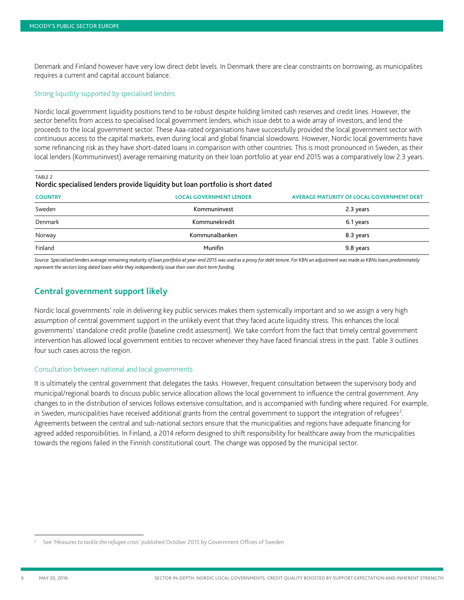Denmark and Finland however have very low direct debt levels. In Denmark there are clear constraints on borrowing, as municipalites requires a current and capital account balance.

#### Strong liquidity supported by specialised lenders

Nordic local government liquidity positions tend to be robust despite holding limited cash reserves and credit lines. However, the sector benefits from access to specialised local government lenders, which issue debt to a wide array of investors, and lend the proceeds to the local government sector. These Aaa-rated organisations have successfully provided the local government sector with continuous access to the capital markets, even during local and global financial slowdowns. However, Nordic local governments have some refinancing risk as they have short-dated loans in comparison with other countries. This is most pronounced in Sweden, as their local lenders (Kommuninvest) average remaining maturity on their loan portfolio at year end 2015 was a comparatively low 2.3 years.

TABLE 2

| Nordic specialised lenders provide liquidity but loan portfolio is short dated |  |  |
|--------------------------------------------------------------------------------|--|--|
|                                                                                |  |  |

| <b>COUNTRY</b> | <b>LOCAL GOVERNMENT LENDER</b> | <b>AVERAGE MATURITY OF LOCAL GOVERNMENT DEBT</b> |
|----------------|--------------------------------|--------------------------------------------------|
| Sweden         | Kommuninvest                   | 2.3 years                                        |
| Denmark        | Kommunekredit                  | 6.1 years                                        |
| Norway         | Kommunalbanken                 | 8.3 years                                        |
| Finland        | Munifin                        | 9.8 years                                        |

*Source: Specialised lenders average remaining maturity of loan portfolio at year-end 2015 was used as a proxy for debt tenure. For KBN an adjustment was made as KBNs loans predominately represent the sectors long dated loans while they independently issue their own short term funding.*

### <span id="page-5-0"></span>**Central government support likely**

Nordic local governments' role in delivering key public services makes them systemically important and so we assign a very high assumption of central government support in the unlikely event that they faced acute liquidity stress. This enhances the local governments' standalone credit profile (baseline credit assessment). We take comfort from the fact that timely central government intervention has allowed local government entities to recover whenever they have faced financial stress in the past. Table 3 outlines four such cases across the region.

#### Consultation between national and local governments

It is ultimately the central government that delegates the tasks. However, frequent consultation between the supervisory body and municipal/regional boards to discuss public service allocation allows the local government to influence the central government. Any changes to in the distribution of services follows extensive consultation, and is accompanied with funding where required. For example, in Sweden, municipalities have received additional grants from the central government to support the integration of refugees<sup>[2](#page-5-1)</sup>. Agreements between the central and sub-national sectors ensure that the municipalities and regions have adequate financing for agreed added responsibilities. In Finland, a 2014 reform designed to shift responsibility for healthcare away from the municipalities towards the regions failed in the Finnish constitutional court. The change was opposed by the municipal sector.

-

<span id="page-5-1"></span><sup>2</sup> See '*Measures to tackle the refugee crisis'* published October 2015 by Government Offices of Sweden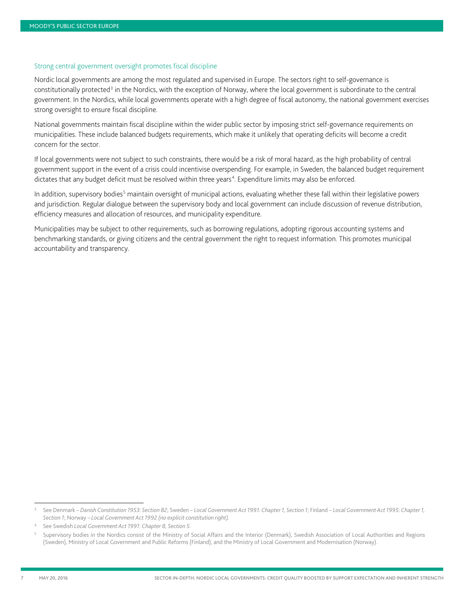#### Strong central government oversight promotes fiscal discipline

Nordic local governments are among the most regulated and supervised in Europe. The sectors right to self-governance is constitutionally protected<sup>[3](#page-6-0)</sup> in the Nordics, with the exception of Norway, where the local government is subordinate to the central government. In the Nordics, while local governments operate with a high degree of fiscal autonomy, the national government exercises strong oversight to ensure fiscal discipline.

National governments maintain fiscal discipline within the wider public sector by imposing strict self-governance requirements on municipalities. These include balanced budgets requirements, which make it unlikely that operating deficits will become a credit concern for the sector.

If local governments were not subject to such constraints, there would be a risk of moral hazard, as the high probability of central government support in the event of a crisis could incentivise overspending. For example, in Sweden, the balanced budget requirement dictates that any budget deficit must be resolved within three years<sup>[4](#page-6-1)</sup>. Expenditure limits may also be enforced.

In addition, supervisory bodies<sup>[5](#page-6-2)</sup> maintain oversight of municipal actions, evaluating whether these fall within their legislative powers and jurisdiction. Regular dialogue between the supervisory body and local government can include discussion of revenue distribution, efficiency measures and allocation of resources, and municipality expenditure.

Municipalities may be subject to other requirements, such as borrowing regulations, adopting rigorous accounting systems and benchmarking standards, or giving citizens and the central government the right to request information. This promotes municipal accountability and transparency.

-

<span id="page-6-0"></span><sup>3</sup> See Denmark – *Danish Constitution 1953: Section 82*; Sweden – *Local Government Act 1991: Chapter 1, Section 1*; Finland – *Local Government Act 1995: Chapter 1, Section 1*; Norway *– Local Government Act 1992 (no explicit constitution right).*

<span id="page-6-1"></span><sup>4</sup> See Swedish *Local Government Act 1991: Chapter 8, Section 5.*

<span id="page-6-2"></span><sup>5</sup> Supervisory bodies in the Nordics consist of the Ministry of Social Affairs and the Interior (Denmark), Swedish Association of Local Authorities and Regions (Sweden), Ministry of Local Government and Public Reforms (Finland), and the Ministry of Local Government and Modernisation (Norway).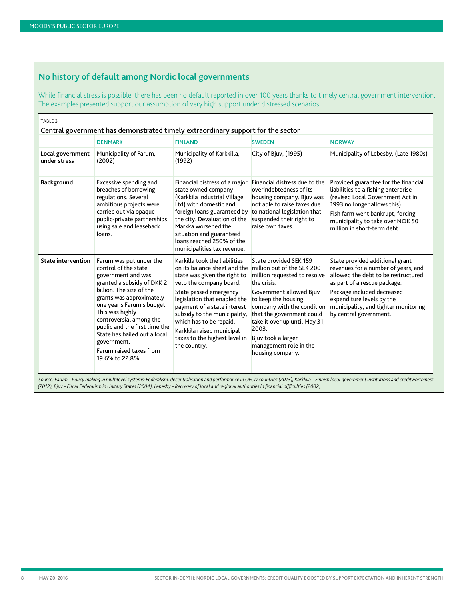# <span id="page-7-0"></span>**No history of default among Nordic local governments**

While financial stress is possible, there has been no default reported in over 100 years thanks to timely central government intervention. The examples presented support our assumption of very high support under distressed scenarios.

| TABLE <sub>3</sub>               |                                                                                                                                                                                                                                                                                                                                                                       |                                                                                                                                                                                                                                                                                                                                                            |                                                                                                                                                                                                                                                                                                                                |                                                                                                                                                                                                                                                                            |
|----------------------------------|-----------------------------------------------------------------------------------------------------------------------------------------------------------------------------------------------------------------------------------------------------------------------------------------------------------------------------------------------------------------------|------------------------------------------------------------------------------------------------------------------------------------------------------------------------------------------------------------------------------------------------------------------------------------------------------------------------------------------------------------|--------------------------------------------------------------------------------------------------------------------------------------------------------------------------------------------------------------------------------------------------------------------------------------------------------------------------------|----------------------------------------------------------------------------------------------------------------------------------------------------------------------------------------------------------------------------------------------------------------------------|
|                                  | Central government has demonstrated timely extraordinary support for the sector                                                                                                                                                                                                                                                                                       |                                                                                                                                                                                                                                                                                                                                                            |                                                                                                                                                                                                                                                                                                                                |                                                                                                                                                                                                                                                                            |
|                                  | <b>DENMARK</b>                                                                                                                                                                                                                                                                                                                                                        | <b>FINLAND</b>                                                                                                                                                                                                                                                                                                                                             | <b>SWEDEN</b>                                                                                                                                                                                                                                                                                                                  | <b>NORWAY</b>                                                                                                                                                                                                                                                              |
| Local government<br>under stress | Municipality of Farum,<br>(2002)                                                                                                                                                                                                                                                                                                                                      | Municipality of Karkkilla,<br>(1992)                                                                                                                                                                                                                                                                                                                       | City of Bjuv, (1995)                                                                                                                                                                                                                                                                                                           | Municipality of Lebesby, (Late 1980s)                                                                                                                                                                                                                                      |
| Background                       | Excessive spending and<br>breaches of borrowing<br>regulations. Several<br>ambitious projects were<br>carried out via opaque<br>public-private partnerships<br>using sale and leaseback<br>loans.                                                                                                                                                                     | Financial distress of a major<br>state owned company<br>(Karkkila Industrial Village<br>Ltd) with domestic and<br>foreign loans guaranteed by<br>the city. Devaluation of the<br>Markka worsened the<br>situation and guaranteed<br>loans reached 250% of the<br>municipalities tax revenue.                                                               | Financial distress due to the<br>overindebtedness of its<br>housing company. Bjuv was<br>not able to raise taxes due<br>to national legislation that<br>suspended their right to<br>raise own taxes.                                                                                                                           | Provided guarantee for the financial<br>liabilities to a fishing enterprise<br>(revised Local Government Act in<br>1993 no longer allows this)<br>Fish farm went bankrupt, forcing<br>municipality to take over NOK 50<br>million in short-term debt                       |
| <b>State intervention</b>        | Farum was put under the<br>control of the state<br>government and was<br>granted a subsidy of DKK 2<br>billion. The size of the<br>grants was approximately<br>one year's Farum's budget.<br>This was highly<br>controversial among the<br>public and the first time the<br>State has bailed out a local<br>government.<br>Farum raised taxes from<br>19.6% to 22.8%. | Karkilla took the liabilities<br>on its balance sheet and the<br>state was given the right to<br>veto the company board.<br>State passed emergency<br>legislation that enabled the<br>payment of a state interest<br>subsidy to the municipality,<br>which has to be repaid.<br>Karkkila raised municipal<br>taxes to the highest level in<br>the country. | State provided SEK 159<br>million out of the SEK 200<br>million requested to resolve<br>the crisis.<br>Government allowed Bjuv<br>to keep the housing<br>company with the condition<br>that the government could<br>take it over up until May 31,<br>2003.<br>Bjuv took a larger<br>management role in the<br>housing company. | State provided additional grant<br>revenues for a number of years, and<br>allowed the debt to be restructured<br>as part of a rescue package.<br>Package included decreased<br>expenditure levels by the<br>municipality, and tighter monitoring<br>by central government. |

*Source: Farum – Policy making in multilevel systems: Federalism, decentralisation and performance in OECD countries (2013); Karkkila – Finnish local government institutions and creditworthiness (2012); Bjuv – Fiscal Federalism in Unitary States (2004); Lebesby – Recovery of local and regional authorities in financial difficulties (2002)*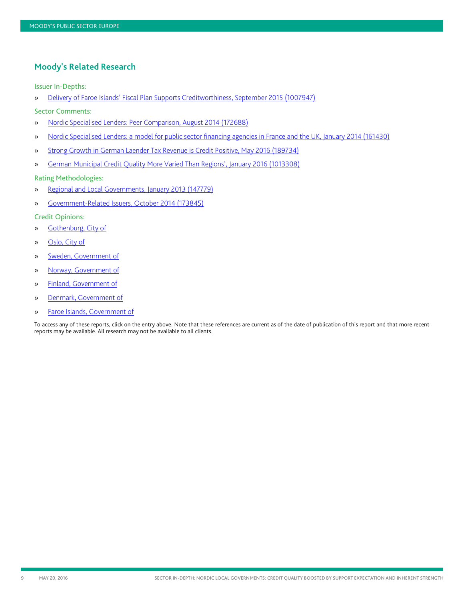### <span id="page-8-0"></span>**Moody's Related Research**

Issuer In-Depths:

- » [Delivery of Faroe Islands' Fiscal Plan Supports Creditworthiness, September 2015 \(1007947\)](https://www.moodys.com/researchdocumentcontentpage.aspx?docid=PBC_1007947)
- Sector Comments:
- » [Nordic Specialised Lenders: Peer Comparison, August 2014 \(172688\)](https://www.moodys.com/researchdocumentcontentpage.aspx?docid=PBC_172688)
- » [Nordic Specialised Lenders: a model for public sector financing agencies in France and the UK, January 2014 \(161430\)](https://www.moodys.com/researchdocumentcontentpage.aspx?docid=PBC_161430)
- » [Strong Growth in German Laender Tax Revenue is Credit Positive, May 2016 \(189734\)](https://www.moodys.com/researchdocumentcontentpage.aspx?docid=PBC_189734)
- » [German Municipal Credit Quality More Varied Than Regions', January 2016 \(1013308\)](https://www.moodys.com/researchdocumentcontentpage.aspx?docid=PBC_1013308)

#### Rating Methodologies:

- » [Regional and Local Governments, January 2013 \(147779\)](https://www.moodys.com/researchdocumentcontentpage.aspx?docid=PBC_147779)
- » [Government-Related Issuers, October 2014 \(173845\)](https://www.moodys.com/researchdocumentcontentpage.aspx?docid=PBC_173845)

#### Credit Opinions:

- » [Gothenburg, City of](https://www.moodys.com/research/Gothenburg-City-of-Credit-Opinion--COP_341645)
- » [Oslo, City of](https://www.moodys.com/research/Oslo-City-of-Credit-Opinion--COP_576700)
- » [Sweden, Government of](https://www.moodys.com/researchdocumentcontentpage.aspx?docid=PBC_1022864)
- » [Norway, Government of](https://www.moodys.com/researchdocumentcontentpage.aspx?docid=PBC_1018846)
- » [Finland, Government of](https://www.moodys.com/research/Finland-Government-of-Credit-Opinion--COP_278070)
- » [Denmark, Government of](https://www.moodys.com/research/Denmark-Government-of-Credit-Opinion--COP_230700)
- » [Faroe Islands, Government of](https://www.moodys.com/research/Faroe-Islands-Government-of-Credit-Opinion--COP_820828907)

To access any of these reports, click on the entry above. Note that these references are current as of the date of publication of this report and that more recent reports may be available. All research may not be available to all clients.